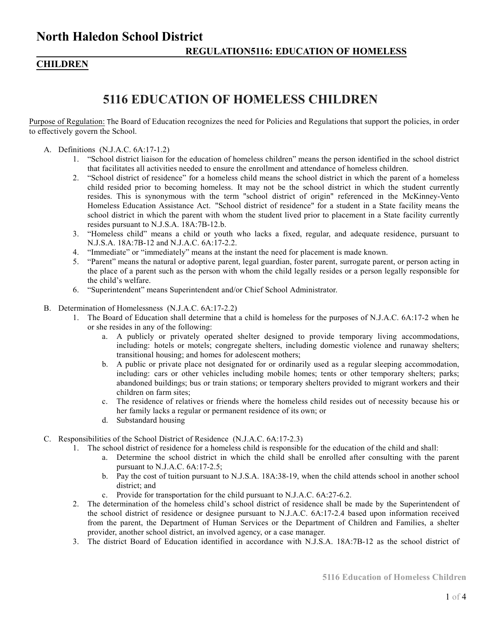### **CHILDREN**

# **5116 EDUCATION OF HOMELESS CHILDREN**

Purpose of Regulation: The Board of Education recognizes the need for Policies and Regulations that support the policies, in order to effectively govern the School.

- A. Definitions (N.J.A.C. 6A:17-1.2)
	- 1. "School district liaison for the education of homeless children" means the person identified in the school district that facilitates all activities needed to ensure the enrollment and attendance of homeless children.
	- 2. "School district of residence" for a homeless child means the school district in which the parent of a homeless child resided prior to becoming homeless. It may not be the school district in which the student currently resides. This is synonymous with the term "school district of origin" referenced in the McKinney-Vento Homeless Education Assistance Act. "School district of residence" for a student in a State facility means the school district in which the parent with whom the student lived prior to placement in a State facility currently resides pursuant to N.J.S.A. 18A:7B-12.b.
	- 3. "Homeless child" means a child or youth who lacks a fixed, regular, and adequate residence, pursuant to N.J.S.A. 18A:7B-12 and N.J.A.C. 6A:17-2.2.
	- 4. "Immediate" or "immediately" means at the instant the need for placement is made known.
	- 5. "Parent" means the natural or adoptive parent, legal guardian, foster parent, surrogate parent, or person acting in the place of a parent such as the person with whom the child legally resides or a person legally responsible for the child's welfare.
	- 6. "Superintendent" means Superintendent and/or Chief School Administrator.
- B. Determination of Homelessness (N.J.A.C. 6A:17-2.2)
	- 1. The Board of Education shall determine that a child is homeless for the purposes of N.J.A.C. 6A:17-2 when he or she resides in any of the following:
		- a. A publicly or privately operated shelter designed to provide temporary living accommodations, including: hotels or motels; congregate shelters, including domestic violence and runaway shelters; transitional housing; and homes for adolescent mothers;
		- b. A public or private place not designated for or ordinarily used as a regular sleeping accommodation, including: cars or other vehicles including mobile homes; tents or other temporary shelters; parks; abandoned buildings; bus or train stations; or temporary shelters provided to migrant workers and their children on farm sites;
		- c. The residence of relatives or friends where the homeless child resides out of necessity because his or her family lacks a regular or permanent residence of its own; or
		- d. Substandard housing
- C. Responsibilities of the School District of Residence (N.J.A.C. 6A:17-2.3)
	- 1. The school district of residence for a homeless child is responsible for the education of the child and shall:
		- a. Determine the school district in which the child shall be enrolled after consulting with the parent pursuant to N.J.A.C. 6A:17-2.5;
		- b. Pay the cost of tuition pursuant to N.J.S.A. 18A:38-19, when the child attends school in another school district; and
		- c. Provide for transportation for the child pursuant to N.J.A.C. 6A:27-6.2.
		- 2. The determination of the homeless child's school district of residence shall be made by the Superintendent of the school district of residence or designee pursuant to N.J.A.C. 6A:17-2.4 based upon information received from the parent, the Department of Human Services or the Department of Children and Families, a shelter provider, another school district, an involved agency, or a case manager.
		- 3. The district Board of Education identified in accordance with N.J.S.A. 18A:7B-12 as the school district of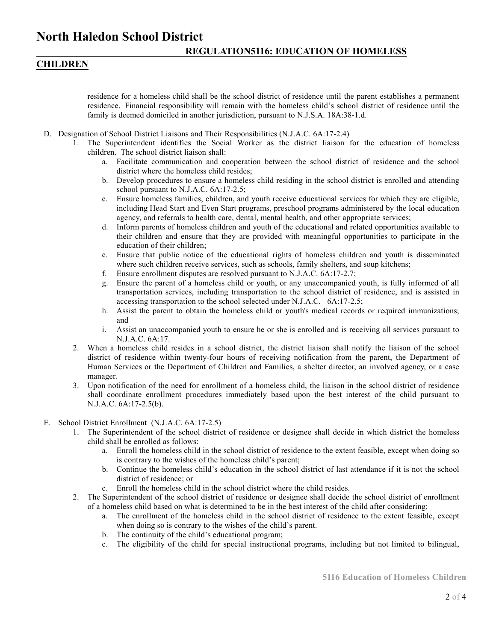## **North Haledon School District**

### **CHILDREN**

residence for a homeless child shall be the school district of residence until the parent establishes a permanent residence. Financial responsibility will remain with the homeless child's school district of residence until the family is deemed domiciled in another jurisdiction, pursuant to N.J.S.A. 18A:38-1.d.

- D. Designation of School District Liaisons and Their Responsibilities (N.J.A.C. 6A:17-2.4)
	- 1. The Superintendent identifies the Social Worker as the district liaison for the education of homeless children. The school district liaison shall:
		- a. Facilitate communication and cooperation between the school district of residence and the school district where the homeless child resides;
		- b. Develop procedures to ensure a homeless child residing in the school district is enrolled and attending school pursuant to N.J.A.C. 6A:17-2.5;
		- c. Ensure homeless families, children, and youth receive educational services for which they are eligible, including Head Start and Even Start programs, preschool programs administered by the local education agency, and referrals to health care, dental, mental health, and other appropriate services;
		- d. Inform parents of homeless children and youth of the educational and related opportunities available to their children and ensure that they are provided with meaningful opportunities to participate in the education of their children;
		- e. Ensure that public notice of the educational rights of homeless children and youth is disseminated where such children receive services, such as schools, family shelters, and soup kitchens;
		- f. Ensure enrollment disputes are resolved pursuant to N.J.A.C. 6A:17-2.7;
		- g. Ensure the parent of a homeless child or youth, or any unaccompanied youth, is fully informed of all transportation services, including transportation to the school district of residence, and is assisted in accessing transportation to the school selected under N.J.A.C. 6A:17-2.5;
		- h. Assist the parent to obtain the homeless child or youth's medical records or required immunizations; and
		- i. Assist an unaccompanied youth to ensure he or she is enrolled and is receiving all services pursuant to N.J.A.C. 6A:17.
	- 2. When a homeless child resides in a school district, the district liaison shall notify the liaison of the school district of residence within twenty-four hours of receiving notification from the parent, the Department of Human Services or the Department of Children and Families, a shelter director, an involved agency, or a case manager.
	- 3. Upon notification of the need for enrollment of a homeless child, the liaison in the school district of residence shall coordinate enrollment procedures immediately based upon the best interest of the child pursuant to N.J.A.C. 6A:17-2.5(b).
- E. School District Enrollment (N.J.A.C. 6A:17-2.5)
	- 1. The Superintendent of the school district of residence or designee shall decide in which district the homeless child shall be enrolled as follows:
		- a. Enroll the homeless child in the school district of residence to the extent feasible, except when doing so is contrary to the wishes of the homeless child's parent;
		- b. Continue the homeless child's education in the school district of last attendance if it is not the school district of residence; or
		- c. Enroll the homeless child in the school district where the child resides.
	- 2. The Superintendent of the school district of residence or designee shall decide the school district of enrollment of a homeless child based on what is determined to be in the best interest of the child after considering:
		- a. The enrollment of the homeless child in the school district of residence to the extent feasible, except when doing so is contrary to the wishes of the child's parent.
		- b. The continuity of the child's educational program;
		- c. The eligibility of the child for special instructional programs, including but not limited to bilingual,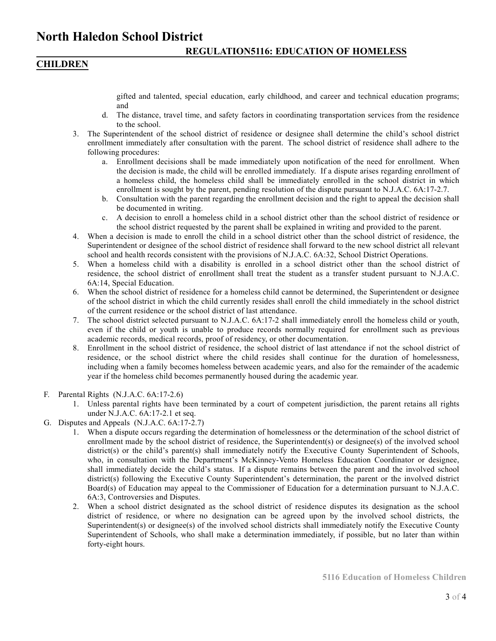### **North Haledon School District**

### **CHILDREN**

gifted and talented, special education, early childhood, and career and technical education programs; and

- d. The distance, travel time, and safety factors in coordinating transportation services from the residence to the school.
- 3. The Superintendent of the school district of residence or designee shall determine the child's school district enrollment immediately after consultation with the parent. The school district of residence shall adhere to the following procedures:
	- a. Enrollment decisions shall be made immediately upon notification of the need for enrollment. When the decision is made, the child will be enrolled immediately. If a dispute arises regarding enrollment of a homeless child, the homeless child shall be immediately enrolled in the school district in which enrollment is sought by the parent, pending resolution of the dispute pursuant to N.J.A.C. 6A:17-2.7.
	- b. Consultation with the parent regarding the enrollment decision and the right to appeal the decision shall be documented in writing.
	- c. A decision to enroll a homeless child in a school district other than the school district of residence or the school district requested by the parent shall be explained in writing and provided to the parent.
- 4. When a decision is made to enroll the child in a school district other than the school district of residence, the Superintendent or designee of the school district of residence shall forward to the new school district all relevant school and health records consistent with the provisions of N.J.A.C. 6A:32, School District Operations.
- 5. When a homeless child with a disability is enrolled in a school district other than the school district of residence, the school district of enrollment shall treat the student as a transfer student pursuant to N.J.A.C. 6A:14, Special Education.
- 6. When the school district of residence for a homeless child cannot be determined, the Superintendent or designee of the school district in which the child currently resides shall enroll the child immediately in the school district of the current residence or the school district of last attendance.
- 7. The school district selected pursuant to N.J.A.C. 6A:17-2 shall immediately enroll the homeless child or youth, even if the child or youth is unable to produce records normally required for enrollment such as previous academic records, medical records, proof of residency, or other documentation.
- 8. Enrollment in the school district of residence, the school district of last attendance if not the school district of residence, or the school district where the child resides shall continue for the duration of homelessness, including when a family becomes homeless between academic years, and also for the remainder of the academic year if the homeless child becomes permanently housed during the academic year.
- F. Parental Rights (N.J.A.C. 6A:17-2.6)
	- 1. Unless parental rights have been terminated by a court of competent jurisdiction, the parent retains all rights under N.J.A.C. 6A:17-2.1 et seq.
- G. Disputes and Appeals (N.J.A.C. 6A:17-2.7)
	- 1. When a dispute occurs regarding the determination of homelessness or the determination of the school district of enrollment made by the school district of residence, the Superintendent(s) or designee(s) of the involved school district(s) or the child's parent(s) shall immediately notify the Executive County Superintendent of Schools, who, in consultation with the Department's McKinney-Vento Homeless Education Coordinator or designee, shall immediately decide the child's status. If a dispute remains between the parent and the involved school district(s) following the Executive County Superintendent's determination, the parent or the involved district Board(s) of Education may appeal to the Commissioner of Education for a determination pursuant to N.J.A.C. 6A:3, Controversies and Disputes.
	- 2. When a school district designated as the school district of residence disputes its designation as the school district of residence, or where no designation can be agreed upon by the involved school districts, the Superintendent(s) or designee(s) of the involved school districts shall immediately notify the Executive County Superintendent of Schools, who shall make a determination immediately, if possible, but no later than within forty-eight hours.